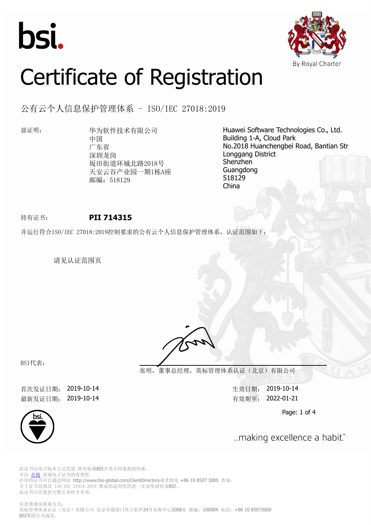



# Certificate of Registration

公有云个人信息保护管理体系 - ISO/IEC 27018:2019

兹证明: 华为软件技术有限公司 中国 广东省 深圳龙岗 坂田街道环城北路2018号 天安云谷产业园一期1栋A座 邮编: 518129

Huawei Software Technologies Co., Ltd. Building 1-A, Cloud Park No.2018 Huanchengbei Road, Bantian Str Longgang District Shenzhen Guangdong 518129 China

## 持有证书: **PII 714315**

并运行符合ISO/IEC 27018:2019控制要求的公有云个人信息保护管理体系,认证范围如下:

请见认证范围页

BSI代表:

**张明,董事总经理,英标管理体系认证(北京)有限公司**

首次发证日期: 2019-10-14 生效日期: 2019-10-14 最新发证日期: 2019-10-14 http://www.facebook.com/discom/discom/discom/discom/discom/discom/discom/discom/

Page: 1 of 4



... making excellence a habit."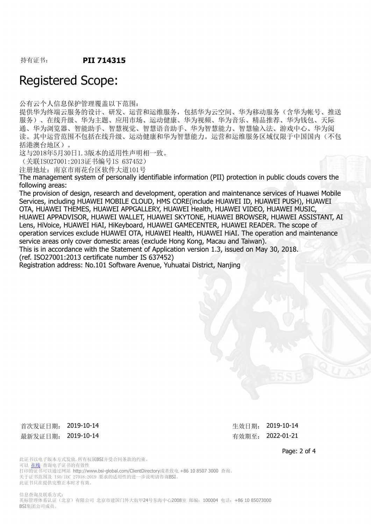持有证书: **PII 714315**

## Registered Scope:

公有云个人信息保护管理覆盖以下范围:

提供华为终端云服务的设计、研发、运营和运维服务,包括华为云空间、华为移动服务(含华为帐号、推送 服务)、在线升级、华为主题、应用市场、运动健康、华为视频、华为音乐、精品推荐、华为钱包、天际 通、华为浏览器、智能助手、智慧视觉、智慧语音助手、华为智慧能力、智慧输入法、游戏中心、华为阅 读。其中运营范围不包括在线升级、运动健康和华为智慧能力。运营和运维服务区域仅限于中国国内(不包 括港澳台地区)。

这与2018年5月30日1.3版本的适用性声明相一致。

(关联ISO27001:2013证书编号IS 637452)

注册地址:南京市雨花台区软件大道101号

The management system of personally identifiable information (PII) protection in public clouds covers the following areas:

The provision of design, research and development, operation and maintenance services of Huawei Mobile Services, including HUAWEI MOBILE CLOUD, HMS CORE(include HUAWEI ID, HUAWEI PUSH), HUAWEI OTA, HUAWEI THEMES, HUAWEI APPGALLERY, HUAWEI Health, HUAWEI VIDEO, HUAWEI MUSIC, HUAWEI APPADVISOR, HUAWEI WALLET, HUAWEI SKYTONE, HUAWEI BROWSER, HUAWEI ASSISTANT, AI Lens, HiVoice, HUAWEI HiAI, HiKeyboard, HUAWEI GAMECENTER, HUAWEI READER. The scope of operation services exclude HUAWEI OTA, HUAWEI Health, HUAWEI HiAI. The operation and maintenance service areas only cover domestic areas (exclude Hong Kong, Macau and Taiwan).

This is in accordance with the Statement of Application version 1.3, issued on May 30, 2018.

(ref. ISO27001:2013 certificate number IS 637452)

Registration address: No.101 Software Avenue, Yuhuatai District, Nanjing

首次发证日期: 2019-10-14 カランス おおところ おおところ おおところ 生效日期: 2019-10-14 最新发证日期: 2019-10-14 http://www.facebook.com/discoversite/setter/info@example.com/

Page: 2 of 4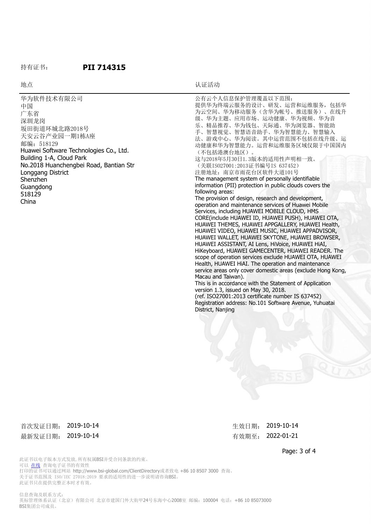#### 持有证书: **PII 714315**

#### 地点 地点 医心包的 医心包的 医心包的 计二进制 计正活动

| 华为软件技术有限公司<br>中国<br>广东省<br>深圳龙岗<br>坂田街道环城北路2018号<br>天安云谷产业园一期1栋A座<br>邮编: 518129<br>Huawei Software Technologies Co., Ltd.<br>Building 1-A, Cloud Park<br>No.2018 Huanchengbei Road, Bantian Str<br>Longgang District<br>Shenzhen<br>Guangdong<br>518129<br>China | 公有云个人信息保护管理覆盖以下范围:<br>提供华为终端云服务的设计、研发、运营和运维服务, 包括华<br>为云空间、华为移动服务(含华为帐号、推送服务)、在线升<br>级、华为主题、应用市场、运动健康、华为视频、华为音<br>乐、精品推荐、华为钱包、天际通、华为浏览器、智能助<br>手、智慧视觉、智慧语音助手、华为智慧能力、智慧输入<br>法、游戏中心、华为阅读。其中运营范围不包括在线升级、运<br>动健康和华为智慧能力。运营和运维服务区域仅限于中国国内<br>(不包括港澳台地区)。<br>这与2018年5月30日1.3版本的适用性声明相一致。<br>(关联IS027001:2013证书编号IS 637452)<br>注册地址: 南京市雨花台区软件大道101号<br>The management system of personally identifiable<br>information (PII) protection in public clouds covers the<br>following areas:<br>The provision of design, research and development,<br>operation and maintenance services of Huawei Mobile<br>Services, including HUAWEI MOBILE CLOUD, HMS<br>CORE(include HUAWEI ID, HUAWEI PUSH), HUAWEI OTA,<br>HUAWEI THEMES, HUAWEI APPGALLERY, HUAWEI Health,<br>HUAWEI VIDEO, HUAWEI MUSIC, HUAWEI APPADVISOR,<br>HUAWEI WALLET, HUAWEI SKYTONE, HUAWEI BROWSER,<br>HUAWEI ASSISTANT, AI Lens, HiVoice, HUAWEI HIAI,<br>HiKeyboard, HUAWEI GAMECENTER, HUAWEI READER. The<br>scope of operation services exclude HUAWEI OTA, HUAWEI<br>Health, HUAWEI HiAI. The operation and maintenance<br>service areas only cover domestic areas (exclude Hong Kong,<br>Macau and Taiwan).<br>This is in accordance with the Statement of Application<br>version 1.3, issued on May 30, 2018.<br>(ref. ISO27001:2013 certificate number IS 637452)<br>Registration address: No.101 Software Avenue, Yuhuatai<br>District, Nanjing |
|------------------------------------------------------------------------------------------------------------------------------------------------------------------------------------------------------------------------------------------------------------------|--------------------------------------------------------------------------------------------------------------------------------------------------------------------------------------------------------------------------------------------------------------------------------------------------------------------------------------------------------------------------------------------------------------------------------------------------------------------------------------------------------------------------------------------------------------------------------------------------------------------------------------------------------------------------------------------------------------------------------------------------------------------------------------------------------------------------------------------------------------------------------------------------------------------------------------------------------------------------------------------------------------------------------------------------------------------------------------------------------------------------------------------------------------------------------------------------------------------------------------------------------------------------------------------------------------------------------------------------------------------------------------------------------------------|
|                                                                                                                                                                                                                                                                  |                                                                                                                                                                                                                                                                                                                                                                                                                                                                                                                                                                                                                                                                                                                                                                                                                                                                                                                                                                                                                                                                                                                                                                                                                                                                                                                                                                                                                    |

### 首次发证日期: 2019-10-14 生效日期: 2019-10-14 最新发证日期: 2019-10-14 有效期至: 2022-01-21

Page: 3 of 4